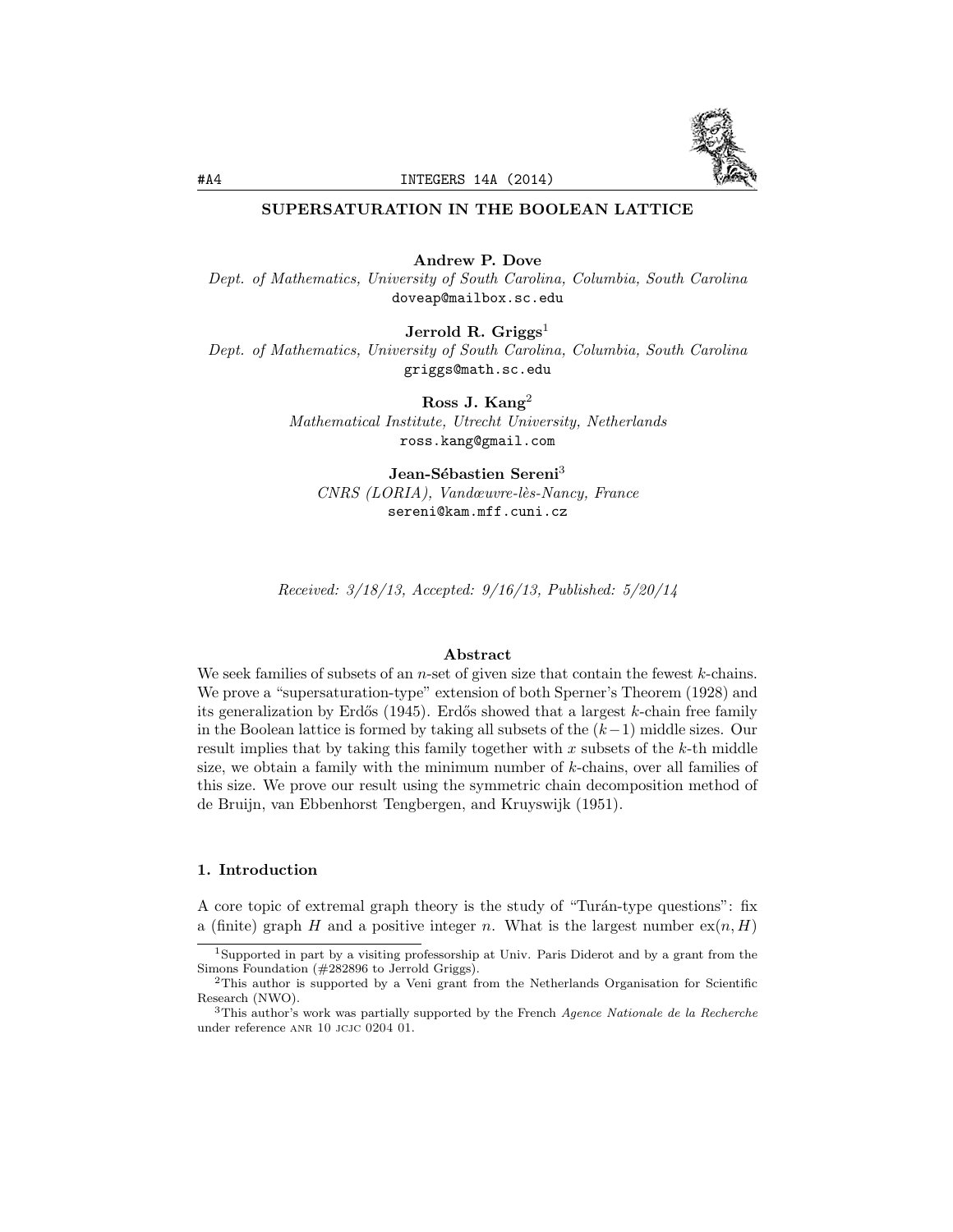

# SUPERSATURATION IN THE BOOLEAN LATTICE

Andrew P. Dove

*Dept. of Mathematics, University of South Carolina, Columbia, South Carolina* doveap@mailbox.sc.edu

Jerrold R. Griggs<sup>1</sup>

*Dept. of Mathematics, University of South Carolina, Columbia, South Carolina* griggs@math.sc.edu

Ross J. Kang<sup>2</sup>

*Mathematical Institute, Utrecht University, Netherlands* ross.kang@gmail.com

Jean-Sébastien Sereni<sup>3</sup> *CNRS (LORIA), Vandœuvre-l`es-Nancy, France* sereni@kam.mff.cuni.cz

*Received: 3/18/13, Accepted: 9/16/13, Published: 5/20/14*

#### Abstract

We seek families of subsets of an *n*-set of given size that contain the fewest *k*-chains. We prove a "supersaturation-type" extension of both Sperner's Theorem (1928) and its generalization by Erdős (1945). Erdős showed that a largest *k*-chain free family in the Boolean lattice is formed by taking all subsets of the  $(k-1)$  middle sizes. Our result implies that by taking this family together with *x* subsets of the *k*-th middle size, we obtain a family with the minimum number of *k*-chains, over all families of this size. We prove our result using the symmetric chain decomposition method of de Bruijn, van Ebbenhorst Tengbergen, and Kruyswijk (1951).

# 1. Introduction

A core topic of extremal graph theory is the study of "Turán-type questions": fix a (finite) graph *H* and a positive integer *n*. What is the largest number  $ex(n, H)$ 

<sup>1</sup>Supported in part by a visiting professorship at Univ. Paris Diderot and by a grant from the Simons Foundation (#282896 to Jerrold Griggs).

<sup>&</sup>lt;sup>2</sup>This author is supported by a Veni grant from the Netherlands Organisation for Scientific Research (NWO).

<sup>3</sup>This author's work was partially supported by the French *Agence Nationale de la Recherche* under reference ANR 10 JCJC 0204 01.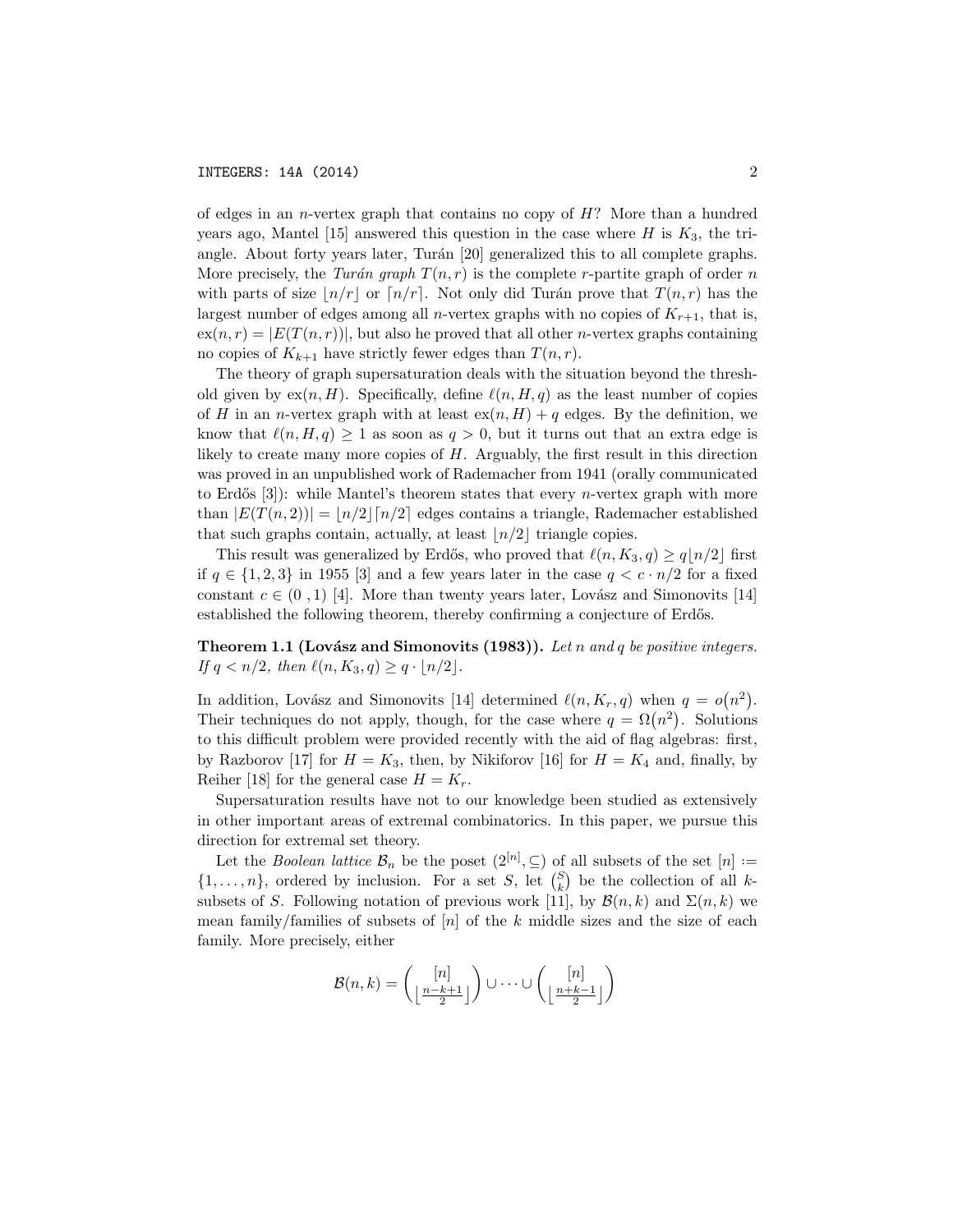of edges in an *n*-vertex graph that contains no copy of *H*? More than a hundred years ago, Mantel [15] answered this question in the case where  $H$  is  $K_3$ , the triangle. About forty years later, Turán [20] generalized this to all complete graphs. More precisely, the *Turán* graph  $T(n,r)$  is the complete *r*-partite graph of order *n* with parts of size  $n/r$  or  $\lceil n/r \rceil$ . Not only did Turán prove that  $T(n,r)$  has the largest number of edges among all *n*-vertex graphs with no copies of  $K_{r+1}$ , that is,  $ex(n,r) = |E(T(n,r))|$ , but also he proved that all other *n*-vertex graphs containing no copies of  $K_{k+1}$  have strictly fewer edges than  $T(n, r)$ .

The theory of graph supersaturation deals with the situation beyond the threshold given by  $ex(n, H)$ . Specifically, define  $\ell(n, H, q)$  as the least number of copies of *H* in an *n*-vertex graph with at least  $ex(n, H) + q$  edges. By the definition, we know that  $\ell(n, H, q) \geq 1$  as soon as  $q > 0$ , but it turns out that an extra edge is likely to create many more copies of *H*. Arguably, the first result in this direction was proved in an unpublished work of Rademacher from 1941 (orally communicated to Erdős  $[3]$ : while Mantel's theorem states that every *n*-vertex graph with more than  $|E(T(n,2))| = |n/2| [n/2]$  edges contains a triangle, Rademacher established that such graphs contain, actually, at least  $\lfloor n/2 \rfloor$  triangle copies.

This result was generalized by Erdős, who proved that  $\ell(n, K_3, q) \geq q\lfloor n/2 \rfloor$  first if  $q \in \{1, 2, 3\}$  in 1955 [3] and a few years later in the case  $q < c \cdot n/2$  for a fixed constant  $c \in (0, 1)$  [4]. More than twenty years later, Lovász and Simonovits [14] established the following theorem, thereby confirming a conjecture of Erdős.

**Theorem 1.1 (Lovász and Simonovits (1983)).** Let *n* and *q* be positive integers. *If*  $q < n/2$ *, then*  $\ell(n, K_3, q) \geq q \cdot \lfloor n/2 \rfloor$ *.* 

In addition, Lovász and Simonovits [14] determined  $\ell(n, K_r, q)$  when  $q = o(n^2)$ . Their techniques do not apply, though, for the case where  $q = \Omega(n^2)$ . Solutions to this difficult problem were provided recently with the aid of flag algebras: first, by Razborov [17] for  $H = K_3$ , then, by Nikiforov [16] for  $H = K_4$  and, finally, by Reiher [18] for the general case  $H = K_r$ .

Supersaturation results have not to our knowledge been studied as extensively in other important areas of extremal combinatorics. In this paper, we pursue this direction for extremal set theory.

Let the *Boolean lattice*  $\mathcal{B}_n$  be the poset  $(2^{[n]}, \subseteq)$  of all subsets of the set  $[n] :=$  $\{1, \ldots, n\}$ , ordered by inclusion. For a set *S*, let  $\binom{S}{k}$  be the collection of all *k*subsets of *S*. Following notation of previous work [11], by  $\mathcal{B}(n,k)$  and  $\Sigma(n,k)$  we mean family/families of subsets of [*n*] of the *k* middle sizes and the size of each family. More precisely, either

$$
\mathcal{B}(n,k) = \binom{[n]}{\lfloor \frac{n-k+1}{2} \rfloor} \cup \cdots \cup \binom{[n]}{\lfloor \frac{n+k-1}{2} \rfloor}
$$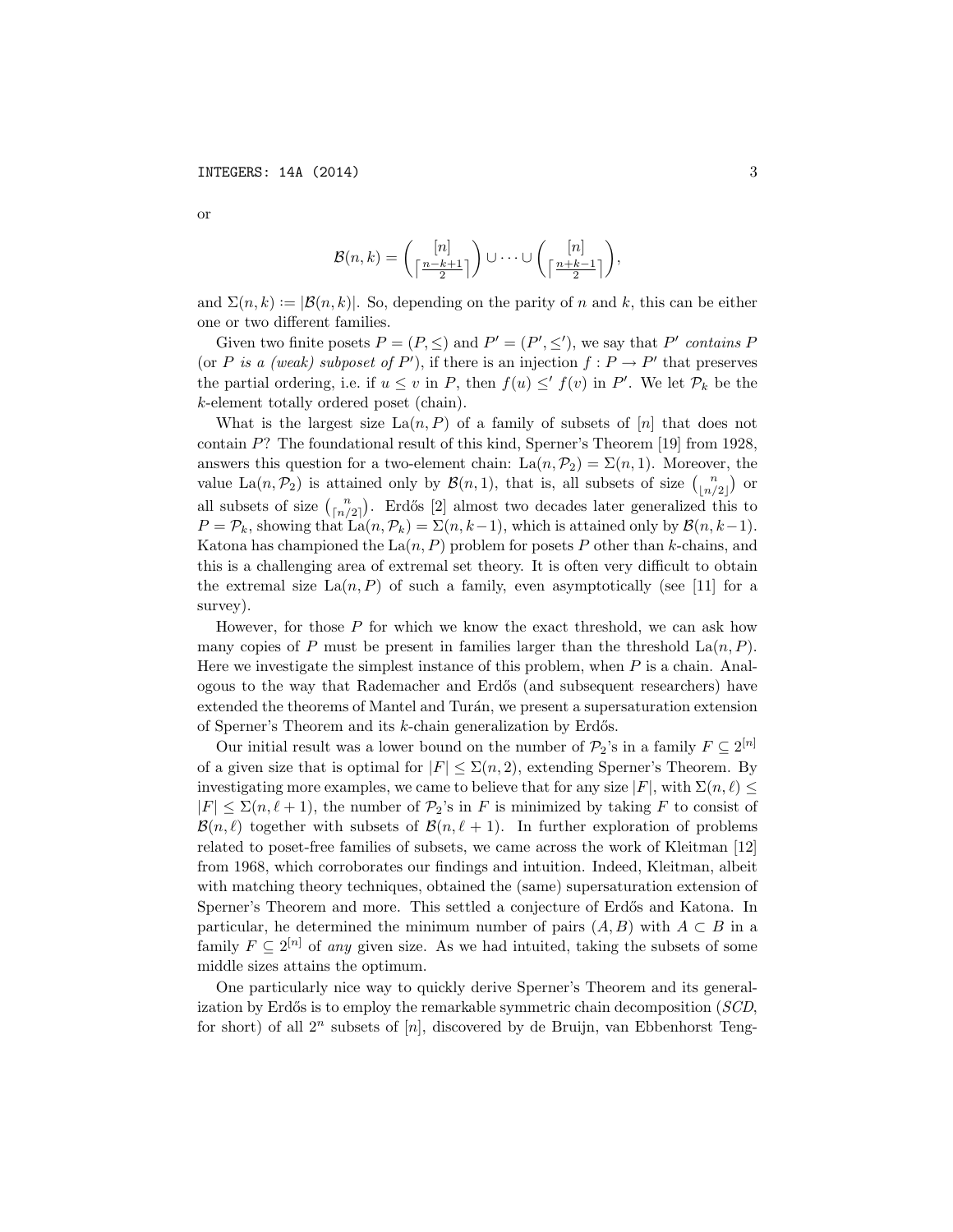$$
\mathcal{B}(n,k) = \binom{[n]}{\lceil \frac{n-k+1}{2} \rceil} \cup \cdots \cup \binom{[n]}{\lceil \frac{n+k-1}{2} \rceil},
$$

and  $\Sigma(n, k) := |\mathcal{B}(n, k)|$ . So, depending on the parity of *n* and *k*, this can be either one or two different families.

Given two finite posets  $P = (P, \leq)$  and  $P' = (P', \leq')$ , we say that P' *contains* P (or *P is a (weak) subposet of*  $P'$ ), if there is an injection  $f : P \to P'$  that preserves the partial ordering, i.e. if  $u \leq v$  in *P*, then  $f(u) \leq' f(v)$  in *P'*. We let  $\mathcal{P}_k$  be the *k*-element totally ordered poset (chain).

What is the largest size  $\text{La}(n, P)$  of a family of subsets of [*n*] that does not contain *P*? The foundational result of this kind, Sperner's Theorem [19] from 1928, answers this question for a two-element chain:  $\text{La}(n, \mathcal{P}_2) = \Sigma(n, 1)$ . Moreover, the value La $(n, \mathcal{P}_2)$  is attained only by  $\mathcal{B}(n, 1)$ , that is, all subsets of size  $\binom{n}{\lfloor n/2 \rfloor}$  or all subsets of size  $\binom{n}{\lfloor n/2 \rfloor}$ . Erdős [2] almost two decades later generalized this to  $P = \mathcal{P}_k$ , showing that  $\text{La}(n, \mathcal{P}_k) = \Sigma(n, k-1)$ , which is attained only by  $\mathcal{B}(n, k-1)$ . Katona has championed the  $\text{La}(n, P)$  problem for posets P other than *k*-chains, and this is a challenging area of extremal set theory. It is often very difficult to obtain the extremal size  $\text{La}(n, P)$  of such a family, even asymptotically (see [11] for a survey).

However, for those *P* for which we know the exact threshold, we can ask how many copies of *P* must be present in families larger than the threshold  $\text{La}(n, P)$ . Here we investigate the simplest instance of this problem, when *P* is a chain. Analogous to the way that Rademacher and Erd˝os (and subsequent researchers) have extended the theorems of Mantel and Turán, we present a supersaturation extension of Sperner's Theorem and its *k*-chain generalization by Erdős.

Our initial result was a lower bound on the number of  $\mathcal{P}_2$ 's in a family  $F \subseteq 2^{[n]}$ of a given size that is optimal for  $|F| \leq \Sigma(n, 2)$ , extending Sperner's Theorem. By investigating more examples, we came to believe that for any size  $|F|$ , with  $\Sigma(n,\ell) \leq$  $|F| \leq \sum (n, \ell + 1)$ , the number of  $\mathcal{P}_2$ 's in *F* is minimized by taking *F* to consist of  $\mathcal{B}(n,\ell)$  together with subsets of  $\mathcal{B}(n,\ell+1)$ . In further exploration of problems related to poset-free families of subsets, we came across the work of Kleitman [12] from 1968, which corroborates our findings and intuition. Indeed, Kleitman, albeit with matching theory techniques, obtained the (same) supersaturation extension of Sperner's Theorem and more. This settled a conjecture of Erdős and Katona. In particular, he determined the minimum number of pairs  $(A, B)$  with  $A \subset B$  in a family  $F \subseteq 2^{[n]}$  of *any* given size. As we had intuited, taking the subsets of some middle sizes attains the optimum.

One particularly nice way to quickly derive Sperner's Theorem and its generalization by Erdős is to employ the remarkable symmetric chain decomposition (*SCD*, for short) of all 2*<sup>n</sup>* subsets of [*n*], discovered by de Bruijn, van Ebbenhorst Teng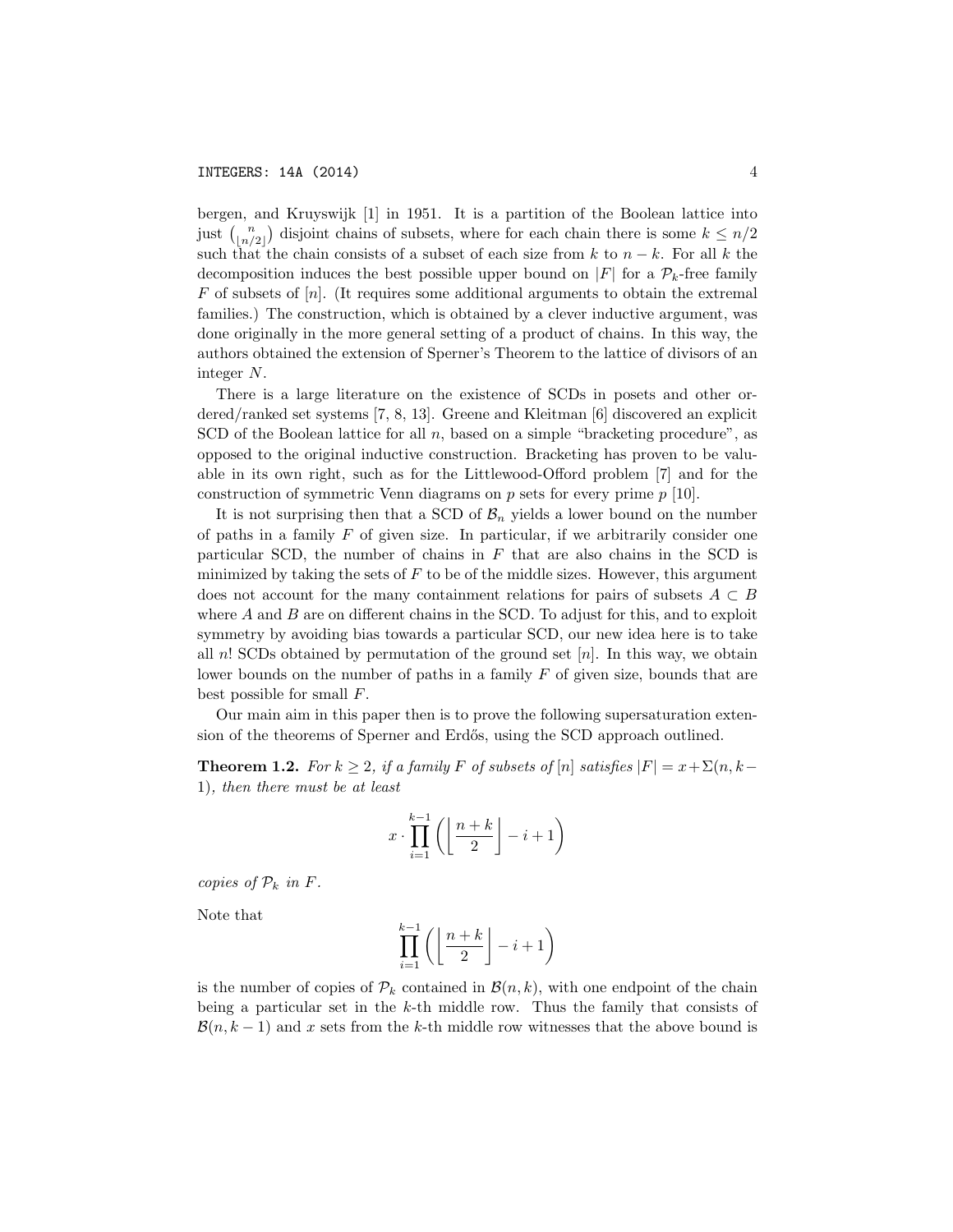bergen, and Kruyswijk [1] in 1951. It is a partition of the Boolean lattice into just  $\binom{n}{\lfloor n/2 \rfloor}$  disjoint chains of subsets, where for each chain there is some  $k \leq n/2$ such that the chain consists of a subset of each size from  $k$  to  $n - k$ . For all  $k$  the decomposition induces the best possible upper bound on  $|F|$  for a  $\mathcal{P}_k$ -free family *F* of subsets of [*n*]. (It requires some additional arguments to obtain the extremal families.) The construction, which is obtained by a clever inductive argument, was done originally in the more general setting of a product of chains. In this way, the authors obtained the extension of Sperner's Theorem to the lattice of divisors of an integer *N*.

There is a large literature on the existence of SCDs in posets and other ordered/ranked set systems [7, 8, 13]. Greene and Kleitman [6] discovered an explicit SCD of the Boolean lattice for all *n*, based on a simple "bracketing procedure", as opposed to the original inductive construction. Bracketing has proven to be valuable in its own right, such as for the Littlewood-Offord problem  $|7|$  and for the construction of symmetric Venn diagrams on *p* sets for every prime *p* [10].

It is not surprising then that a SCD of  $\mathcal{B}_n$  yields a lower bound on the number of paths in a family *F* of given size. In particular, if we arbitrarily consider one particular SCD, the number of chains in *F* that are also chains in the SCD is minimized by taking the sets of  $F$  to be of the middle sizes. However, this argument does not account for the many containment relations for pairs of subsets  $A \subset B$ where  $A$  and  $B$  are on different chains in the SCD. To adjust for this, and to exploit symmetry by avoiding bias towards a particular SCD, our new idea here is to take all *n*! SCDs obtained by permutation of the ground set [*n*]. In this way, we obtain lower bounds on the number of paths in a family *F* of given size, bounds that are best possible for small *F*.

Our main aim in this paper then is to prove the following supersaturation extension of the theorems of Sperner and Erdős, using the SCD approach outlined.

**Theorem 1.2.** For  $k \geq 2$ , if a family F of subsets of  $[n]$  satisfies  $|F| = x + \sum(n, k - 1)$ 1)*, then there must be at least*

$$
x \cdot \prod_{i=1}^{k-1} \left( \left\lfloor \frac{n+k}{2} \right\rfloor - i + 1 \right)
$$

*copies of*  $P_k$  *in*  $F$ *.* 

Note that

$$
\prod_{i=1}^{k-1} \left( \left\lfloor \frac{n+k}{2} \right\rfloor - i + 1 \right)
$$

is the number of copies of  $\mathcal{P}_k$  contained in  $\mathcal{B}(n,k)$ , with one endpoint of the chain being a particular set in the *k*-th middle row. Thus the family that consists of  $\mathcal{B}(n, k-1)$  and x sets from the k-th middle row witnesses that the above bound is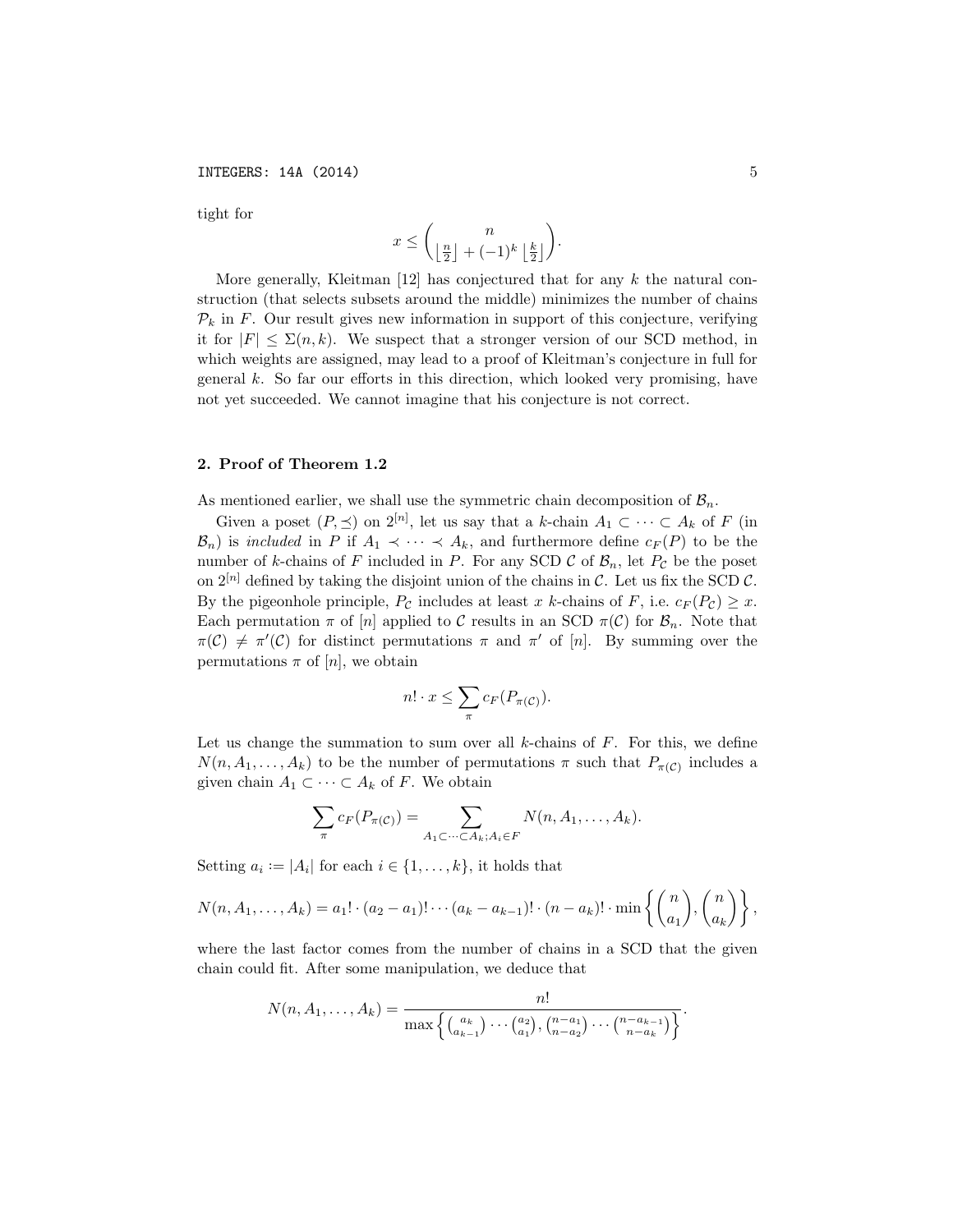tight for

$$
x\leq \binom{n}{\left\lfloor \frac{n}{2}\right\rfloor+(-1)^k\left\lfloor \frac{k}{2}\right\rfloor}.
$$

More generally, Kleitman [12] has conjectured that for any *k* the natural construction (that selects subsets around the middle) minimizes the number of chains  $P_k$  in *F*. Our result gives new information in support of this conjecture, verifying it for  $|F| \leq \Sigma(n,k)$ . We suspect that a stronger version of our SCD method, in which weights are assigned, may lead to a proof of Kleitman's conjecture in full for general *k*. So far our efforts in this direction, which looked very promising, have not yet succeeded. We cannot imagine that his conjecture is not correct.

# 2. Proof of Theorem 1.2

As mentioned earlier, we shall use the symmetric chain decomposition of  $B_n$ .

Given a poset  $(P, \leq)$  on  $2^{[n]}$ , let us say that a *k*-chain  $A_1 \subset \cdots \subset A_k$  of *F* (in  $B_n$ ) is *included* in *P* if  $A_1 \prec \cdots \prec A_k$ , and furthermore define  $c_F(P)$  to be the number of *k*-chains of *F* included in *P*. For any SCD  $\mathcal{C}$  of  $\mathcal{B}_n$ , let  $P_{\mathcal{C}}$  be the poset on  $2^{[n]}$  defined by taking the disjoint union of the chains in *C*. Let us fix the SCD *C*. By the pigeonhole principle,  $P_{\mathcal{C}}$  includes at least *x k*-chains of *F*, i.e.  $c_F(P_{\mathcal{C}}) \geq x$ . Each permutation  $\pi$  of  $[n]$  applied to C results in an SCD  $\pi(\mathcal{C})$  for  $\mathcal{B}_n$ . Note that  $\pi(\mathcal{C}) \neq \pi'(\mathcal{C})$  for distinct permutations  $\pi$  and  $\pi'$  of [*n*]. By summing over the permutations  $\pi$  of [*n*], we obtain

$$
n! \cdot x \leq \sum_{\pi} c_F(P_{\pi(\mathcal{C})}).
$$

Let us change the summation to sum over all *k*-chains of *F*. For this, we define  $N(n, A_1, \ldots, A_k)$  to be the number of permutations  $\pi$  such that  $P_{\pi(\mathcal{C})}$  includes a given chain  $A_1 \subset \cdots \subset A_k$  of *F*. We obtain

$$
\sum_{\pi} c_F(P_{\pi(\mathcal{C})}) = \sum_{A_1 \subset \cdots \subset A_k; A_i \in F} N(n, A_1, \ldots, A_k).
$$

Setting  $a_i := |A_i|$  for each  $i \in \{1, \ldots, k\}$ , it holds that

$$
N(n, A_1, \ldots, A_k) = a_1! \cdot (a_2 - a_1)! \cdots (a_k - a_{k-1})! \cdot (n - a_k)! \cdot \min\left\{ {n \choose a_1}, {n \choose a_k} \right\},\,
$$

where the last factor comes from the number of chains in a SCD that the given chain could fit. After some manipulation, we deduce that

$$
N(n, A_1, \ldots, A_k) = \frac{n!}{\max\left\{ {a_k \choose a_{k-1}} \cdots {a_2 \choose a_1}, {n-a_1 \choose n-a_2} \cdots {n-a_{k-1} \choose n-a_k} \right\}}.
$$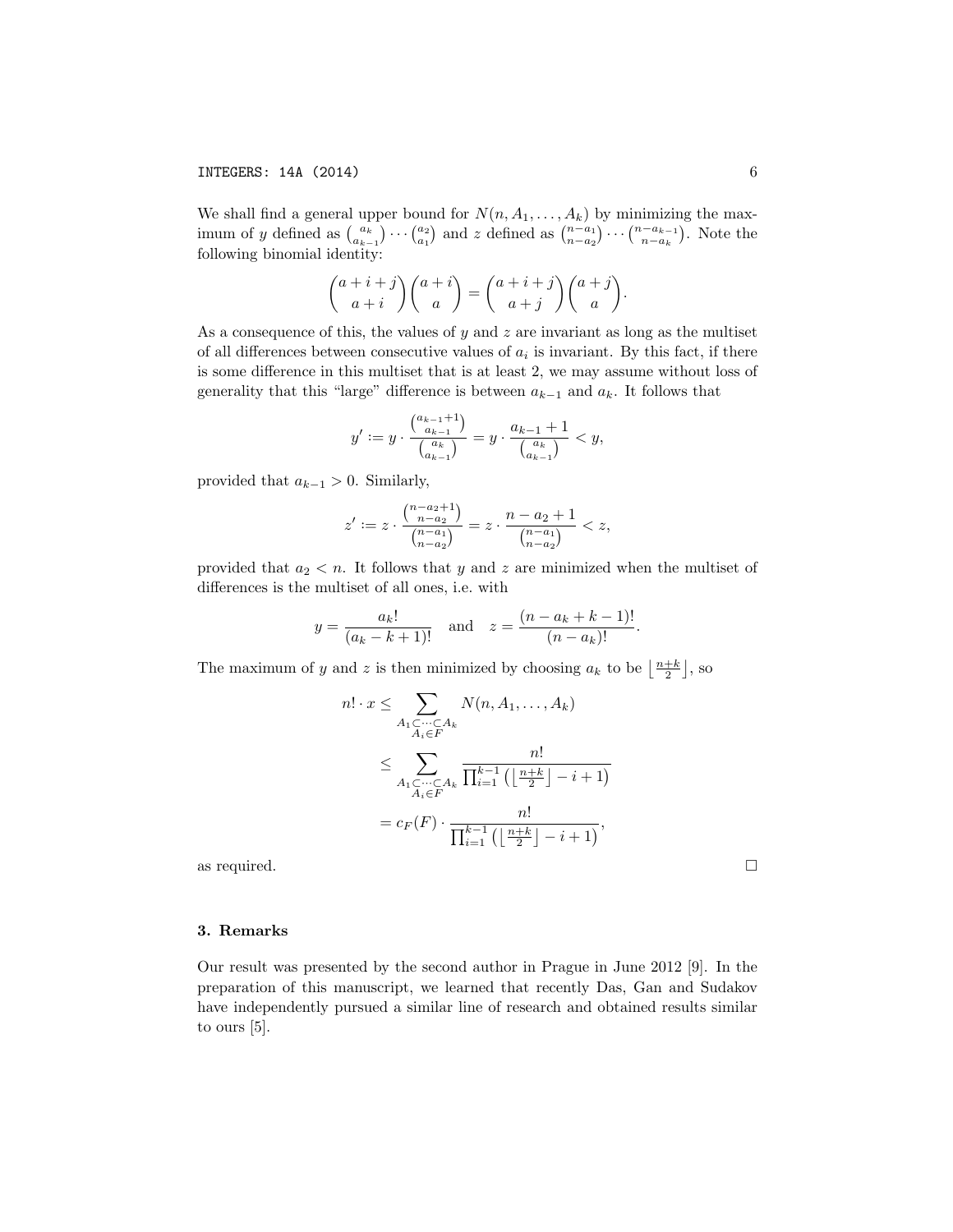We shall find a general upper bound for  $N(n, A_1, \ldots, A_k)$  by minimizing the maximum of y defined as  $\binom{a_k}{a_{k-1}} \cdots \binom{a_2}{a_1}$  and z defined as  $\binom{n-a_1}{n-a_2} \cdots \binom{n-a_{k-1}}{n-a_k}$ . Note the following binomial identity:

$$
\binom{a+i+j}{a+i}\binom{a+i}{a} = \binom{a+i+j}{a+j}\binom{a+j}{a}.
$$

As a consequence of this, the values of *y* and *z* are invariant as long as the multiset of all differences between consecutive values of  $a_i$  is invariant. By this fact, if there is some difference in this multiset that is at least 2, we may assume without loss of generality that this "large" difference is between  $a_{k-1}$  and  $a_k$ . It follows that

$$
y' := y \cdot \frac{\binom{a_{k-1}+1}{a_{k-1}}}{\binom{a_k}{a_{k-1}}} = y \cdot \frac{a_{k-1}+1}{\binom{a_k}{a_{k-1}}} < y,
$$

provided that  $a_{k-1} > 0$ . Similarly,

$$
z' := z \cdot \frac{{\binom{n-a_2+1}{n-a_2}}}{{\binom{n-a_1}{n-a_2}}} = z \cdot \frac{n-a_2+1}{{\binom{n-a_1}{n-a_2}}} < z,
$$

provided that  $a_2 < n$ . It follows that *y* and *z* are minimized when the multiset of differences is the multiset of all ones, i.e. with

$$
y = \frac{a_k!}{(a_k - k + 1)!}
$$
 and  $z = \frac{(n - a_k + k - 1)!}{(n - a_k)!}$ .

The maximum of *y* and *z* is then minimized by choosing  $a_k$  to be  $\left\lfloor \frac{n+k}{2} \right\rfloor$ , so

$$
n! \cdot x \leq \sum_{\substack{A_1 \subset \dots \subset A_k \\ A_i \in F}} N(n, A_1, \dots, A_k)
$$
  

$$
\leq \sum_{\substack{A_1 \subset \dots \subset A_k \\ A_i \in F}} \frac{n!}{\prod_{i=1}^{k-1} \left( \left\lfloor \frac{n+k}{2} \right\rfloor - i + 1 \right)}
$$
  

$$
= c_F(F) \cdot \frac{n!}{\prod_{i=1}^{k-1} \left( \left\lfloor \frac{n+k}{2} \right\rfloor - i + 1 \right)},
$$

as required.  $\Box$ 

## 3. Remarks

Our result was presented by the second author in Prague in June 2012 [9]. In the preparation of this manuscript, we learned that recently Das, Gan and Sudakov have independently pursued a similar line of research and obtained results similar to ours [5].